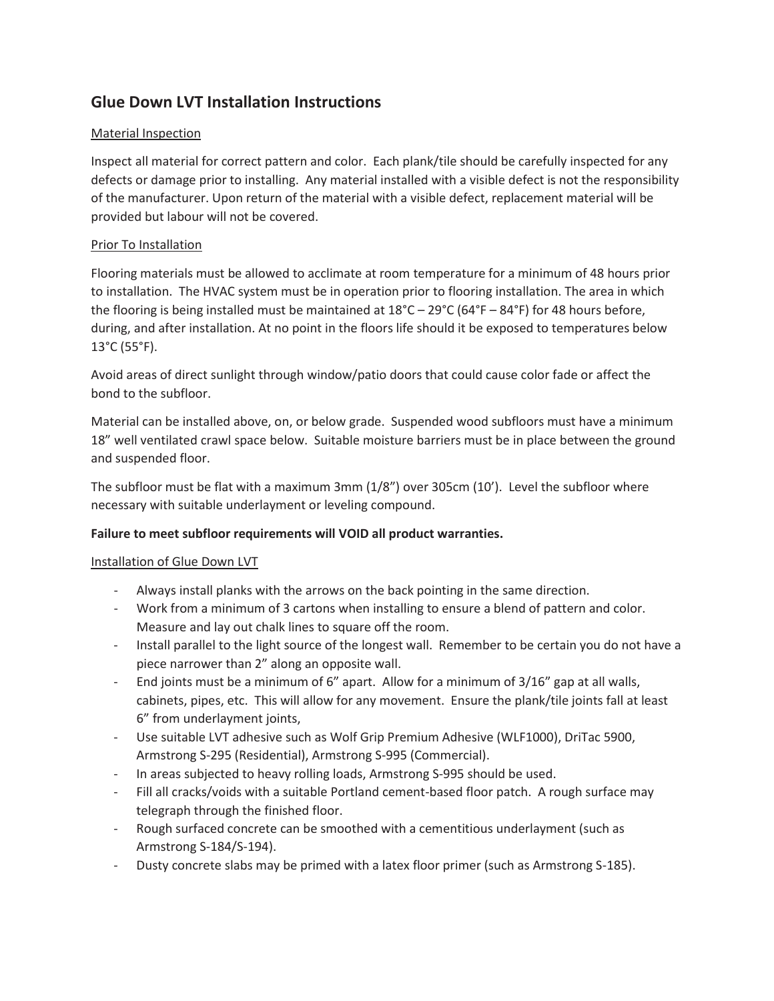# **Glue Down LVT Installation Instructions**

# Material Inspection

Inspect all material for correct pattern and color. Each plank/tile should be carefully inspected for any defects or damage prior to installing. Any material installed with a visible defect is not the responsibility of the manufacturer. Upon return of the material with a visible defect, replacement material will be provided but labour will not be covered.

# Prior To Installation

Flooring materials must be allowed to acclimate at room temperature for a minimum of 48 hours prior to installation. The HVAC system must be in operation prior to flooring installation. The area in which the flooring is being installed must be maintained at 18°C – 29°C (64°F – 84°F) for 48 hours before, during, and after installation. At no point in the floors life should it be exposed to temperatures below 13°C (55°F).

Avoid areas of direct sunlight through window/patio doors that could cause color fade or affect the bond to the subfloor.

Material can be installed above, on, or below grade. Suspended wood subfloors must have a minimum 18" well ventilated crawl space below. Suitable moisture barriers must be in place between the ground and suspended floor.

The subfloor must be flat with a maximum 3mm (1/8") over 305cm (10'). Level the subfloor where necessary with suitable underlayment or leveling compound.

# **Failure to meet subfloor requirements will VOID all product warranties.**

# Installation of Glue Down LVT

- Always install planks with the arrows on the back pointing in the same direction.
- Work from a minimum of 3 cartons when installing to ensure a blend of pattern and color. Measure and lay out chalk lines to square off the room.
- Install parallel to the light source of the longest wall. Remember to be certain you do not have a piece narrower than 2" along an opposite wall.
- End joints must be a minimum of 6" apart. Allow for a minimum of 3/16" gap at all walls, cabinets, pipes, etc. This will allow for any movement. Ensure the plank/tile joints fall at least 6" from underlayment joints,
- Use suitable LVT adhesive such as Wolf Grip Premium Adhesive (WLF1000), DriTac 5900, Armstrong S-295 (Residential), Armstrong S-995 (Commercial).
- In areas subjected to heavy rolling loads, Armstrong S-995 should be used.
- Fill all cracks/voids with a suitable Portland cement-based floor patch. A rough surface may telegraph through the finished floor.
- Rough surfaced concrete can be smoothed with a cementitious underlayment (such as Armstrong S-184/S-194).
- Dusty concrete slabs may be primed with a latex floor primer (such as Armstrong S-185).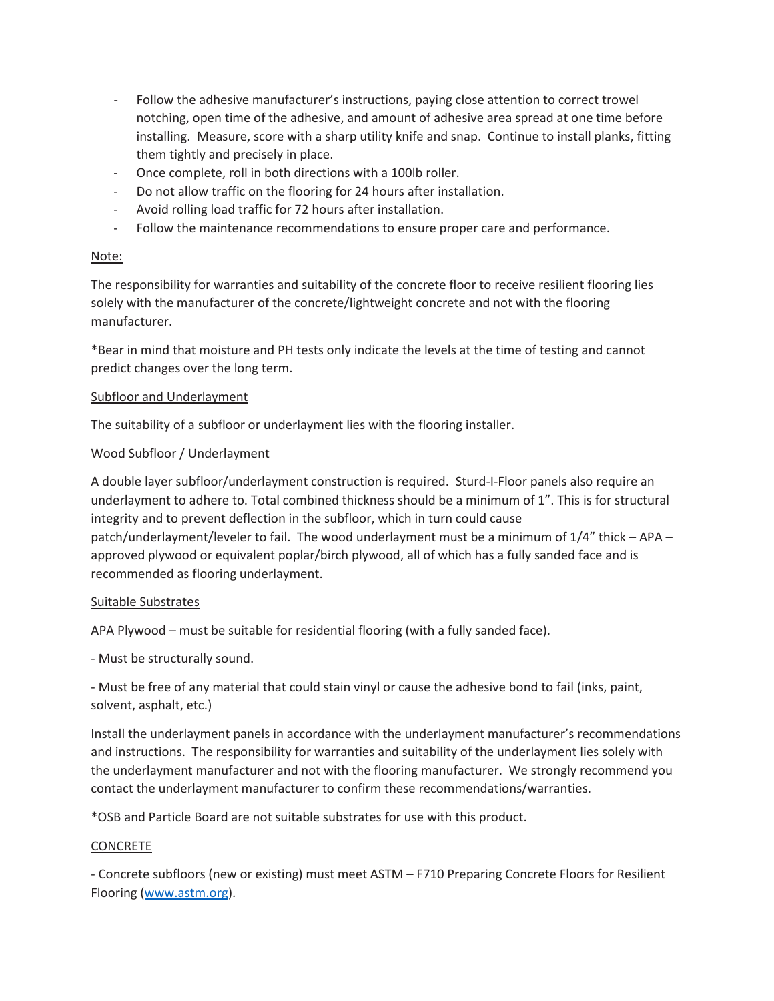- Follow the adhesive manufacturer's instructions, paying close attention to correct trowel notching, open time of the adhesive, and amount of adhesive area spread at one time before installing. Measure, score with a sharp utility knife and snap. Continue to install planks, fitting them tightly and precisely in place.
- Once complete, roll in both directions with a 100lb roller.
- Do not allow traffic on the flooring for 24 hours after installation.
- Avoid rolling load traffic for 72 hours after installation.
- Follow the maintenance recommendations to ensure proper care and performance.

# Note:

The responsibility for warranties and suitability of the concrete floor to receive resilient flooring lies solely with the manufacturer of the concrete/lightweight concrete and not with the flooring manufacturer.

\*Bear in mind that moisture and PH tests only indicate the levels at the time of testing and cannot predict changes over the long term.

#### Subfloor and Underlayment

The suitability of a subfloor or underlayment lies with the flooring installer.

# Wood Subfloor / Underlayment

A double layer subfloor/underlayment construction is required. Sturd-I-Floor panels also require an underlayment to adhere to. Total combined thickness should be a minimum of 1". This is for structural integrity and to prevent deflection in the subfloor, which in turn could cause patch/underlayment/leveler to fail. The wood underlayment must be a minimum of 1/4" thick – APA – approved plywood or equivalent poplar/birch plywood, all of which has a fully sanded face and is recommended as flooring underlayment.

# Suitable Substrates

APA Plywood – must be suitable for residential flooring (with a fully sanded face).

- Must be structurally sound.

- Must be free of any material that could stain vinyl or cause the adhesive bond to fail (inks, paint, solvent, asphalt, etc.)

Install the underlayment panels in accordance with the underlayment manufacturer's recommendations and instructions. The responsibility for warranties and suitability of the underlayment lies solely with the underlayment manufacturer and not with the flooring manufacturer. We strongly recommend you contact the underlayment manufacturer to confirm these recommendations/warranties.

\*OSB and Particle Board are not suitable substrates for use with this product.

# **CONCRETE**

- Concrete subfloors (new or existing) must meet ASTM – F710 Preparing Concrete Floors for Resilient Flooring (www.astm.org).